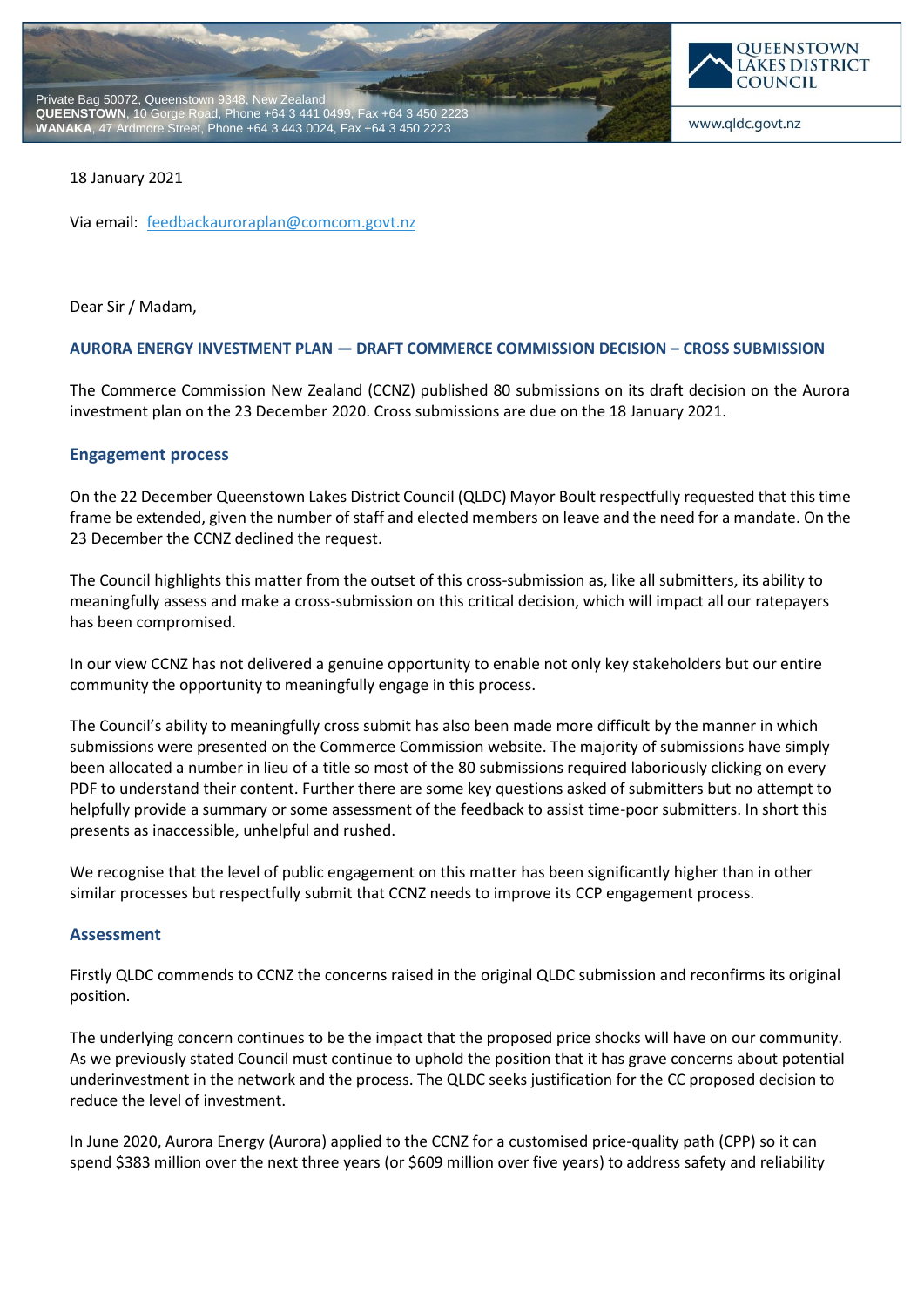



#### 18 January 2021

Via email: [feedbackauroraplan@comcom.govt.nz](mailto:feedbackauroraplan@comcom.govt.nz)

Dear Sir / Madam,

#### **AURORA ENERGY INVESTMENT PLAN — DRAFT COMMERCE COMMISSION DECISION – CROSS SUBMISSION**

The Commerce Commission New Zealand (CCNZ) published 80 submissions on its draft decision on the Aurora investment plan on the 23 December 2020. Cross submissions are due on the 18 January 2021.

# **Engagement process**

On the 22 December Queenstown Lakes District Council (QLDC) Mayor Boult respectfully requested that this time frame be extended, given the number of staff and elected members on leave and the need for a mandate. On the 23 December the CCNZ declined the request.

The Council highlights this matter from the outset of this cross-submission as, like all submitters, its ability to meaningfully assess and make a cross-submission on this critical decision, which will impact all our ratepayers has been compromised.

In our view CCNZ has not delivered a genuine opportunity to enable not only key stakeholders but our entire community the opportunity to meaningfully engage in this process.

The Council's ability to meaningfully cross submit has also been made more difficult by the manner in which submissions were presented on the Commerce Commission website. The majority of submissions have simply been allocated a number in lieu of a title so most of the 80 submissions required laboriously clicking on every PDF to understand their content. Further there are some key questions asked of submitters but no attempt to helpfully provide a summary or some assessment of the feedback to assist time-poor submitters. In short this presents as inaccessible, unhelpful and rushed.

We recognise that the level of public engagement on this matter has been significantly higher than in other similar processes but respectfully submit that CCNZ needs to improve its CCP engagement process.

#### **Assessment**

Firstly QLDC commends to CCNZ the concerns raised in the original QLDC submission and reconfirms its original position.

The underlying concern continues to be the impact that the proposed price shocks will have on our community. As we previously stated Council must continue to uphold the position that it has grave concerns about potential underinvestment in the network and the process. The QLDC seeks justification for the CC proposed decision to reduce the level of investment.

In June 2020, Aurora Energy (Aurora) applied to the CCNZ for a customised price-quality path (CPP) so it can spend \$383 million over the next three years (or \$609 million over five years) to address safety and reliability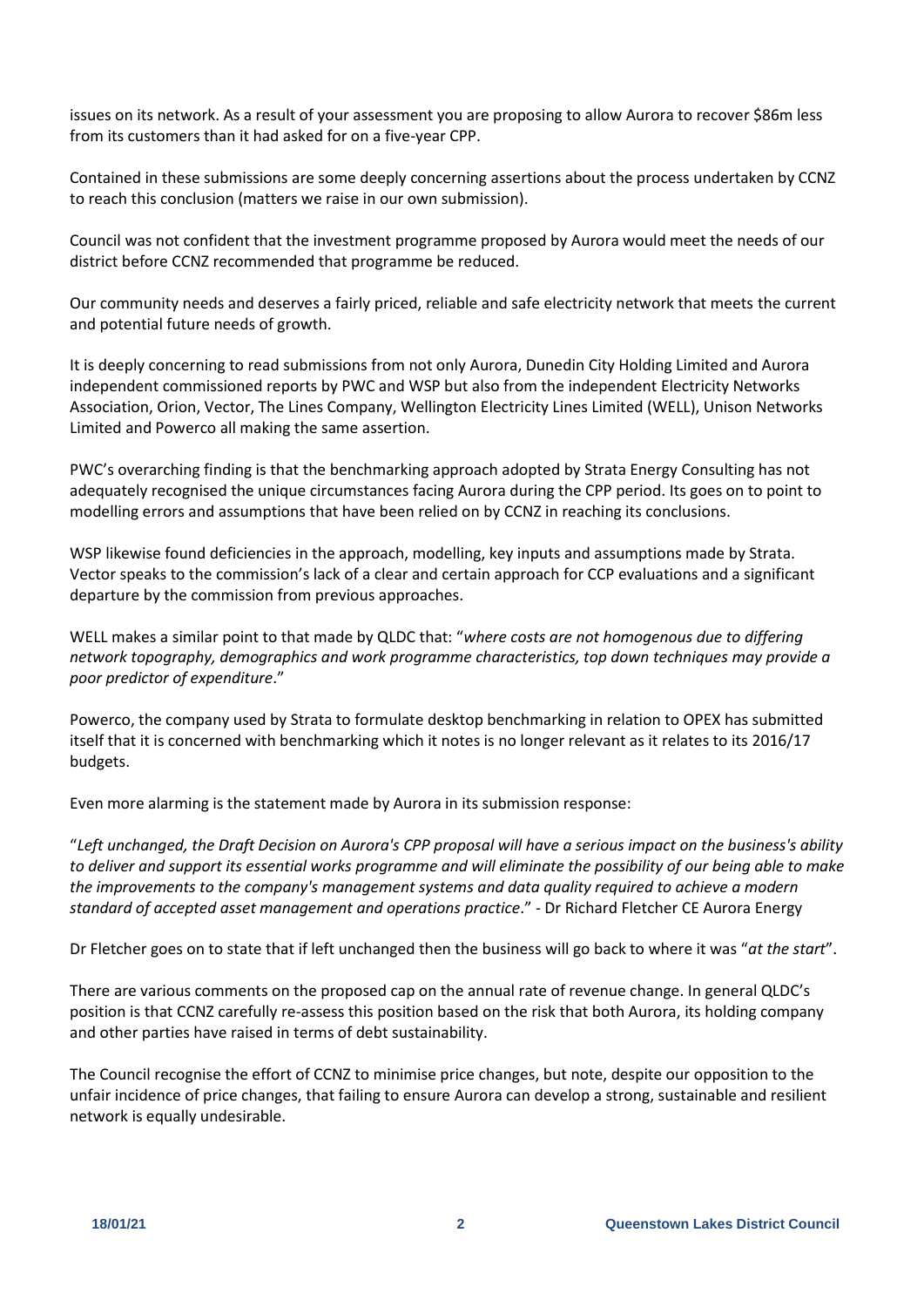issues on its network. As a result of your assessment you are proposing to allow Aurora to recover \$86m less from its customers than it had asked for on a five-year CPP.

Contained in these submissions are some deeply concerning assertions about the process undertaken by CCNZ to reach this conclusion (matters we raise in our own submission).

Council was not confident that the investment programme proposed by Aurora would meet the needs of our district before CCNZ recommended that programme be reduced.

Our community needs and deserves a fairly priced, reliable and safe electricity network that meets the current and potential future needs of growth.

It is deeply concerning to read submissions from not only Aurora, Dunedin City Holding Limited and Aurora independent commissioned reports by PWC and WSP but also from the independent Electricity Networks Association, Orion, Vector, The Lines Company, Wellington Electricity Lines Limited (WELL), Unison Networks Limited and Powerco all making the same assertion.

PWC's overarching finding is that the benchmarking approach adopted by Strata Energy Consulting has not adequately recognised the unique circumstances facing Aurora during the CPP period. Its goes on to point to modelling errors and assumptions that have been relied on by CCNZ in reaching its conclusions.

WSP likewise found deficiencies in the approach, modelling, key inputs and assumptions made by Strata. Vector speaks to the commission's lack of a clear and certain approach for CCP evaluations and a significant departure by the commission from previous approaches.

WELL makes a similar point to that made by QLDC that: "*where costs are not homogenous due to differing network topography, demographics and work programme characteristics, top down techniques may provide a poor predictor of expenditure*."

Powerco, the company used by Strata to formulate desktop benchmarking in relation to OPEX has submitted itself that it is concerned with benchmarking which it notes is no longer relevant as it relates to its 2016/17 budgets.

Even more alarming is the statement made by Aurora in its submission response:

"*Left unchanged, the Draft Decision on Aurora's CPP proposal will have a serious impact on the business's ability to deliver and support its essential works programme and will eliminate the possibility of our being able to make the improvements to the company's management systems and data quality required to achieve a modern standard of accepted asset management and operations practice*." - Dr Richard Fletcher CE Aurora Energy

Dr Fletcher goes on to state that if left unchanged then the business will go back to where it was "*at the start*".

There are various comments on the proposed cap on the annual rate of revenue change. In general QLDC's position is that CCNZ carefully re-assess this position based on the risk that both Aurora, its holding company and other parties have raised in terms of debt sustainability.

The Council recognise the effort of CCNZ to minimise price changes, but note, despite our opposition to the unfair incidence of price changes, that failing to ensure Aurora can develop a strong, sustainable and resilient network is equally undesirable.